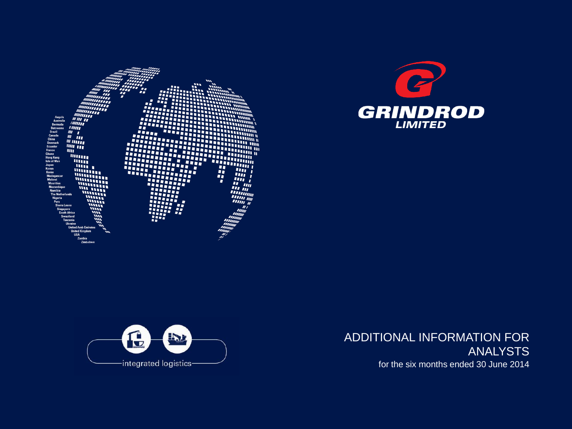





ADDITIONAL INFORMATION FOR ANALYSTS for the six months ended 30 June 2014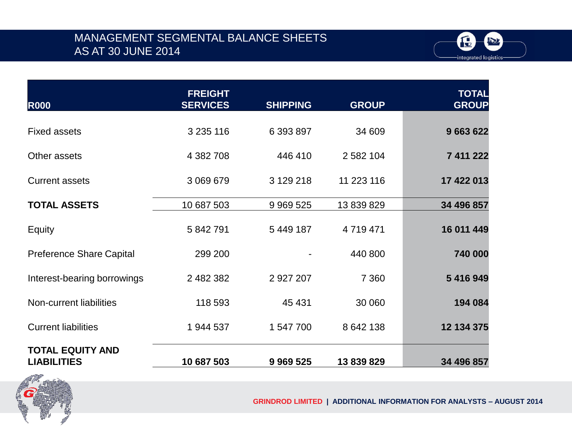#### MANAGEMENT SEGMENTAL BALANCE SHEETS AS AT 30 JUNE 2014



| <b>R000</b>                                   | <b>FREIGHT</b><br><b>SERVICES</b> | <b>SHIPPING</b> | <b>GROUP</b> | <b>TOTAL</b><br><b>GROUP</b> |
|-----------------------------------------------|-----------------------------------|-----------------|--------------|------------------------------|
| <b>Fixed assets</b>                           | 3 2 3 116                         | 6 393 897       | 34 609       | 9 663 622                    |
| Other assets                                  | 4 382 708                         | 446 410         | 2 582 104    | 7 411 222                    |
| <b>Current assets</b>                         | 3 069 679                         | 3 129 218       | 11 223 116   | 17 422 013                   |
| <b>TOTAL ASSETS</b>                           | 10 687 503                        | 9 9 69 5 25     | 13 839 829   | 34 496 857                   |
| Equity                                        | 5 842 791                         | 5 449 187       | 4 719 471    | 16 011 449                   |
| <b>Preference Share Capital</b>               | 299 200                           |                 | 440 800      | 740 000                      |
| Interest-bearing borrowings                   | 2 482 382                         | 2 927 207       | 7 3 6 0      | 5 416 949                    |
| Non-current liabilities                       | 118 593                           | 45 4 31         | 30 060       | 194 084                      |
| <b>Current liabilities</b>                    | 1 944 537                         | 1 547 700       | 8 642 138    | 12 134 375                   |
| <b>TOTAL EQUITY AND</b><br><b>LIABILITIES</b> | 10 687 503                        | 9 9 69 5 25     | 13 839 829   | 34 496 857                   |



**GRINDROD LIMITED | ADDITIONAL INFORMATION FOR ANALYSTS – AUGUST 2014**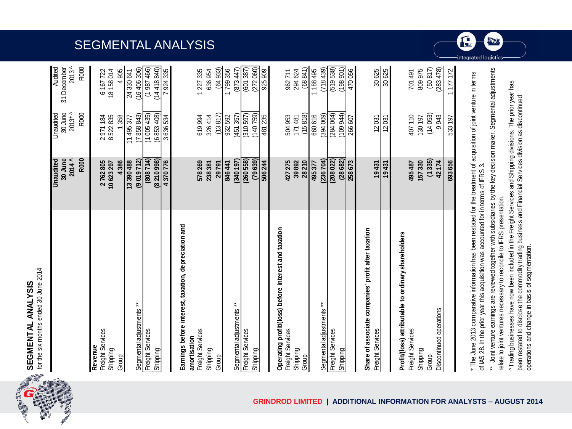

 $\overline{\mathbf{c}}$ 

|                                                      | Unaudited<br>30 June | 30 June<br>Unaudited  | Audited<br>31 December  |
|------------------------------------------------------|----------------------|-----------------------|-------------------------|
|                                                      | $2014^$              | $2013*$               | $2013^$                 |
|                                                      | R000                 | R000                  | R000                    |
| Revenue                                              |                      |                       |                         |
| Freight Services<br>Shipping                         | 2762805<br>10623297  | 8522835<br>2971184    | 18 158 014<br>6 167 722 |
| Group                                                | 4386                 | 1358                  | 4 905                   |
|                                                      | 13390488             | 11495377              | 24 330 641              |
| Segmental adjustments **                             | (9019712)            | (7858843)             | (16406306)              |
| Freight Services                                     | (808714)             | (1005435)             | (1987466)               |
| Shipping                                             | (8210998)            | (6853408)             | (14418840)              |
|                                                      | 4370776              | 3636534               | 7 924 335               |
| Earnings before interest, taxation, depreciation and |                      |                       |                         |
| amortisation                                         |                      |                       |                         |
| Freight Services                                     | 578269               | 619994                | 1 227 335               |
| Shipping                                             | 238 381              | 326414                | 636954                  |
| Group                                                | 29791                | (13817)               | (64933)                 |
|                                                      | 846 441              | 932592                | 1799356                 |
| Segmental adjustments **                             | (340197)             | (451357)              | (873447)                |
| Freight Services                                     | (260558)             | (310597)              | (601387)                |
| Shipping                                             | (79639)              | (140759)              | (272060)                |
|                                                      | 506 244              | 481235                | 925909                  |
| Operating profit/(loss) before interest and taxation |                      |                       |                         |
| Freight Services                                     | 427275               | 504953                | 962711                  |
| Shipping                                             | 39892                | 171481                | 294 624                 |
| Group                                                | 28210                | (15818)               | (68841)                 |
|                                                      | 495377               | 660616                | 1 188 495               |
| Segmental adjustments **                             | (236704)             | $(600)$ $\frac{1}{2}$ | (718439)                |
| Freight Services                                     | (208022)             | (284064)              | (519538)                |
| Shipping                                             | (28682)              | (109944)              | (198901)                |
|                                                      | 258673               | 266 607               | 470056                  |
| Share of associate companies' profit after taxation  |                      |                       |                         |
| Freight Services                                     | 19431                | 12031                 | 30625                   |
|                                                      | 19431                | 12031                 | 30625                   |
| Profit/(loss) attributable to ordinary shareholders  |                      |                       |                         |
| Freight Services                                     | 495487               | 407110                | 701 491                 |
| Shipping                                             | 157330               | 130197                | 809975                  |
| Group                                                | (1335)               | (14053)               | (50817)                 |
| Discontinued operations                              | 42174                | 9943                  | (283, 478)              |

\* The June 2013 comparative information has been restated for the treatment of acquisition of joint venture in terms \* The June 2013 comparative information has been restated for the treatment of acquisition of joint venture in terms of IAS 28. In the prior year this acquisition was accounted for in terms of IFRS 3. of IAS 28. In the prior year this acquisition was accounted for in terms of IFRS 3.

\*\* Joint venture earnings are reviewed together with subsidiaries by the key decision maker. Segmental adjustments \*\* Joint venture earnings are reviewed together with subsidiaries by the key decision maker. Segmental adjustments relate to joint ventures necessary to reconcile to IFRS presentation. relate to joint ventures necessary to reconcile to IFRS presentation.

^ Trading businesses have now been included in the Freight Services and Shipping divisions. The prior year has ^ Trading businesses have now been included in the Freight Services and Shipping divisions. The prior year has been restated to disclose the commodity trading business and Financial Services division as discontinued been restated to disclose the commodity trading business and Financial Services division as discontinued operations and change in basis of segmentation. operations and change in basis of segmentation.

### SEGMENTAL ANALYSIS



integrated logistics

693 656

533 197

1177172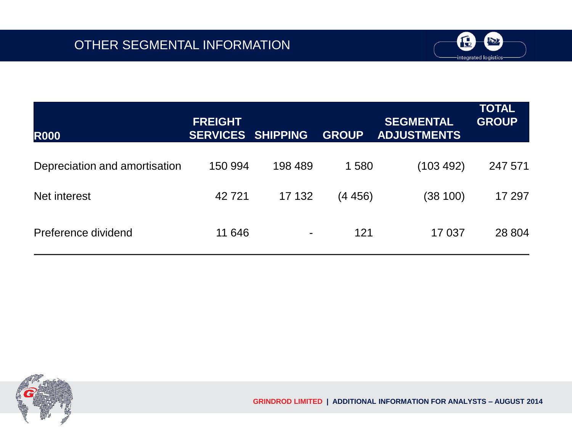

| <b>R000</b>                   | <b>FREIGHT</b><br><b>SERVICES SHIPPING</b> |         | <b>GROUP</b> | <b>SEGMENTAL</b><br><b>ADJUSTMENTS</b> | <b>TOTAL</b><br><b>GROUP</b> |
|-------------------------------|--------------------------------------------|---------|--------------|----------------------------------------|------------------------------|
| Depreciation and amortisation | 150 994                                    | 198 489 | 1580         | (103 492)                              | 247 571                      |
| Net interest                  | 42721                                      | 17 132  | (4456)       | (38 100)                               | 17 297                       |
| Preference dividend           | 11 646                                     |         | 121          | 17037                                  | 28 804                       |

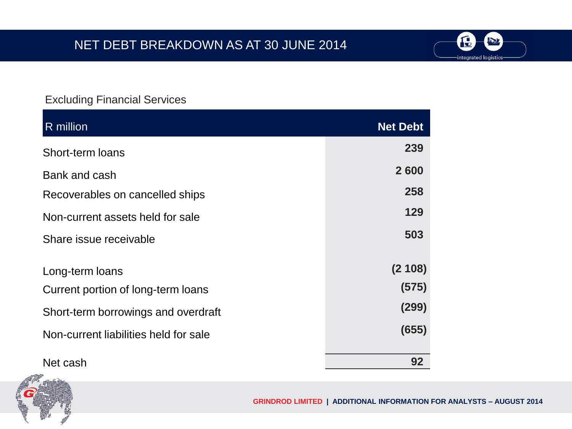

| R million                             | <b>Net Debt</b> |
|---------------------------------------|-----------------|
| Short-term loans                      | 239             |
| Bank and cash                         | 2600            |
| Recoverables on cancelled ships       | 258             |
| Non-current assets held for sale      | 129             |
| Share issue receivable                | 503             |
| Long-term loans                       | (2108)          |
| Current portion of long-term loans    | (575)           |
| Short-term borrowings and overdraft   | (299)           |
| Non-current liabilities held for sale | (655)           |
| Net cash                              | 92              |



IC

IN

integrated logistics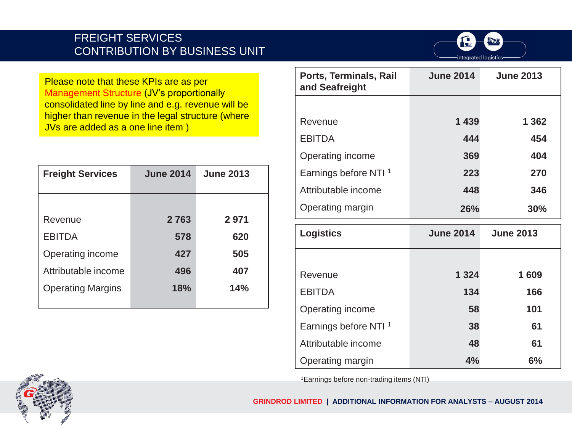#### FREIGHT SERVICES CONTRIBUTION BY BUSINESS UNIT



**Please note that these KPIs are as per** Management Structure (JV's proportionally consolidated line by line and e.g. revenue will be higher than revenue in the legal structure (where JVs are added as a one line item )

| <b>Freight Services</b>  | <b>June 2014</b> | <b>June 2013</b> |
|--------------------------|------------------|------------------|
|                          |                  |                  |
| Revenue                  | 2763             | 2971             |
| <b>EBITDA</b>            | 578              | 620              |
| Operating income         | 427              | 505              |
| Attributable income      | 496              | 407              |
| <b>Operating Margins</b> | 18%              | 14%              |

| Ports, Terminals, Rail<br>and Seafreight | <b>June 2014</b> | <b>June 2013</b> |
|------------------------------------------|------------------|------------------|
|                                          |                  |                  |
| Revenue                                  | 1 4 3 9          | 1 3 6 2          |
| <b>EBITDA</b>                            | 444              | 454              |
| Operating income                         | 369              | 404              |
| Earnings before NTI <sup>1</sup>         | 223              | 270              |
| Attributable income                      | 448              | 346              |
| Operating margin                         | 26%              | 30%              |
| <b>Logistics</b>                         | <b>June 2014</b> | <b>June 2013</b> |
|                                          |                  |                  |

| Logistics                        | <b>June 2014</b> | <b>June 2013</b> |
|----------------------------------|------------------|------------------|
|                                  |                  |                  |
| Revenue                          | 1 3 2 4          | 1609             |
| <b>EBITDA</b>                    | 134              | 166              |
| Operating income                 | 58               | 101              |
| Earnings before NTI <sup>1</sup> | 38               | 61               |
| Attributable income              | 48               | 61               |
| Operating margin                 | 4%               | 6%               |

1Earnings before non-trading items (NTI)

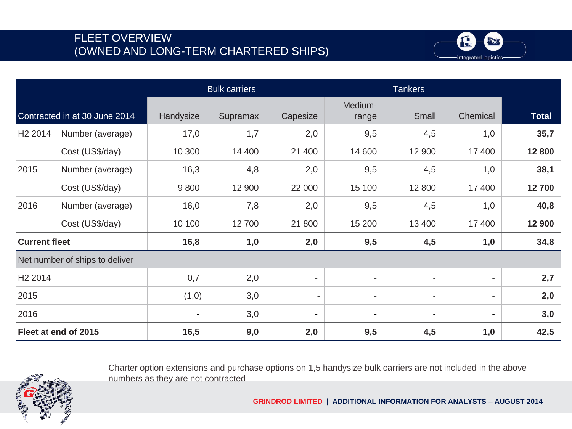#### FLEET OVERVIEW (OWNED AND LONG-TERM CHARTERED SHIPS)



|                      |                                |           | <b>Bulk carriers</b> |                          |                  | <b>Tankers</b> |                          |              |
|----------------------|--------------------------------|-----------|----------------------|--------------------------|------------------|----------------|--------------------------|--------------|
|                      | Contracted in at 30 June 2014  | Handysize | Supramax             | Capesize                 | Medium-<br>range | Small          | Chemical                 | <b>Total</b> |
| H <sub>2</sub> 2014  | Number (average)               | 17,0      | 1,7                  | 2,0                      | 9,5              | 4,5            | 1,0                      | 35,7         |
|                      | Cost (US\$/day)                | 10 300    | 14 400               | 21 400                   | 14 600           | 12 900         | 17 400                   | 12 800       |
| 2015                 | Number (average)               | 16,3      | 4,8                  | 2,0                      | 9,5              | 4,5            | 1,0                      | 38,1         |
|                      | Cost (US\$/day)                | 9800      | 12 900               | 22 000                   | 15 100           | 12 800         | 17 400                   | 12700        |
| 2016                 | Number (average)               | 16,0      | 7,8                  | 2,0                      | 9,5              | 4,5            | 1,0                      | 40,8         |
|                      | Cost (US\$/day)                | 10 100    | 12 700               | 21 800                   | 15 200           | 13 400         | 17 400                   | 12 900       |
| <b>Current fleet</b> |                                | 16,8      | 1,0                  | 2,0                      | 9,5              | 4,5            | 1,0                      | 34,8         |
|                      | Net number of ships to deliver |           |                      |                          |                  |                |                          |              |
| H <sub>2</sub> 2014  |                                | 0,7       | 2,0                  | $\overline{\phantom{a}}$ | $\blacksquare$   | $\blacksquare$ | $\overline{\phantom{0}}$ | 2,7          |
| 2015                 |                                | (1,0)     | 3,0                  | $\blacksquare$           |                  |                | ۰                        | 2,0          |
| 2016                 |                                |           | 3,0                  | -                        |                  |                |                          | 3,0          |
|                      | Fleet at end of 2015           | 16,5      | 9,0                  | 2,0                      | 9,5              | 4,5            | 1,0                      | 42,5         |

Charter option extensions and purchase options on 1,5 handysize bulk carriers are not included in the above numbers as they are not contracted

**GRINDROD LIMITED | ADDITIONAL INFORMATION FOR ANALYSTS – AUGUST 2014**

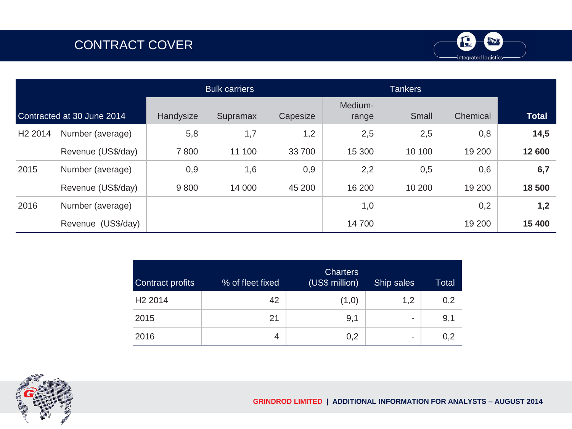# CONTRACT COVER



|                     |                            |           | <b>Bulk carriers</b> |          |                  | <b>Tankers</b> |          |              |
|---------------------|----------------------------|-----------|----------------------|----------|------------------|----------------|----------|--------------|
|                     | Contracted at 30 June 2014 | Handysize | Supramax             | Capesize | Medium-<br>range | Small          | Chemical | <b>Total</b> |
| H <sub>2</sub> 2014 | Number (average)           | 5,8       | 1,7                  | 1,2      | 2,5              | 2,5            | 0,8      | 14,5         |
|                     | Revenue (US\$/day)         | 7800      | 11 100               | 33 700   | 15 300           | 10 100         | 19 200   | 12 600       |
| 2015                | Number (average)           | 0,9       | 1,6                  | 0,9      | 2,2              | 0,5            | 0,6      | 6,7          |
|                     | Revenue (US\$/day)         | 9800      | 14 000               | 45 200   | 16 200           | 10 200         | 19 200   | 18 500       |
| 2016                | Number (average)           |           |                      |          | 1,0              |                | 0,2      | 1,2          |
|                     | Revenue (US\$/day)         |           |                      |          | 14 700           |                | 19 200   | 15 400       |

| <b>Contract profits</b> | % of fleet fixed | <b>Charters</b><br>(US\$ million) | Ship sales | Total |
|-------------------------|------------------|-----------------------------------|------------|-------|
| H <sub>2</sub> 2014     | 42               | (1,0)                             | 1,2        | 0,2   |
| 2015                    | 21               | 9,1                               | -          | 9,1   |
| 2016                    | 4                | 0,2                               | -          | 0,2   |